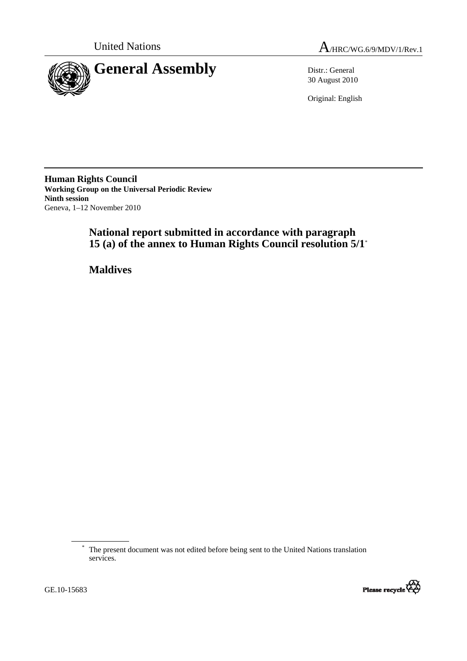

30 August 2010

Original: English

**Human Rights Council Working Group on the Universal Periodic Review Ninth session**  Geneva, 1–12 November 2010

# **National report submitted in accordance with paragraph 15 (a) of the annex to Human Rights Council resolution 5/1**\*

 **Maldives** 



<sup>\*</sup> The present document was not edited before being sent to the United Nations translation services.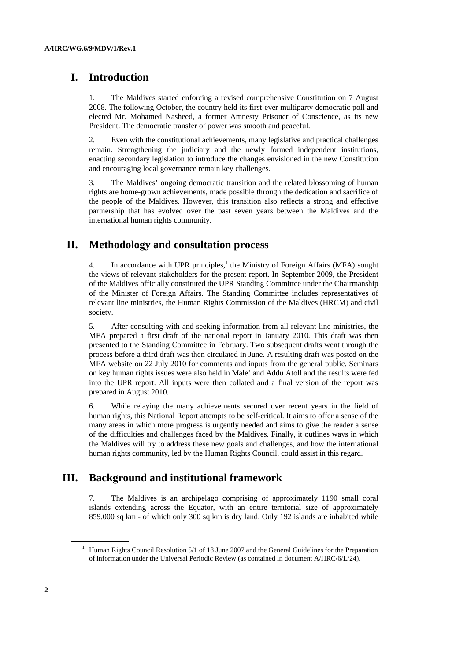# **I. Introduction**

1. The Maldives started enforcing a revised comprehensive Constitution on 7 August 2008. The following October, the country held its first-ever multiparty democratic poll and elected Mr. Mohamed Nasheed, a former Amnesty Prisoner of Conscience, as its new President. The democratic transfer of power was smooth and peaceful.

2. Even with the constitutional achievements, many legislative and practical challenges remain. Strengthening the judiciary and the newly formed independent institutions, enacting secondary legislation to introduce the changes envisioned in the new Constitution and encouraging local governance remain key challenges.

3. The Maldives' ongoing democratic transition and the related blossoming of human rights are home-grown achievements, made possible through the dedication and sacrifice of the people of the Maldives. However, this transition also reflects a strong and effective partnership that has evolved over the past seven years between the Maldives and the international human rights community.

# **II. Methodology and consultation process**

4. In accordance with UPR principles,<sup>1</sup> the Ministry of Foreign Affairs (MFA) sought the views of relevant stakeholders for the present report. In September 2009, the President of the Maldives officially constituted the UPR Standing Committee under the Chairmanship of the Minister of Foreign Affairs. The Standing Committee includes representatives of relevant line ministries, the Human Rights Commission of the Maldives (HRCM) and civil society.

5. After consulting with and seeking information from all relevant line ministries, the MFA prepared a first draft of the national report in January 2010. This draft was then presented to the Standing Committee in February. Two subsequent drafts went through the process before a third draft was then circulated in June. A resulting draft was posted on the MFA website on 22 July 2010 for comments and inputs from the general public. Seminars on key human rights issues were also held in Male' and Addu Atoll and the results were fed into the UPR report. All inputs were then collated and a final version of the report was prepared in August 2010.

6. While relaying the many achievements secured over recent years in the field of human rights, this National Report attempts to be self-critical. It aims to offer a sense of the many areas in which more progress is urgently needed and aims to give the reader a sense of the difficulties and challenges faced by the Maldives. Finally, it outlines ways in which the Maldives will try to address these new goals and challenges, and how the international human rights community, led by the Human Rights Council, could assist in this regard.

# **III. Background and institutional framework**

7. The Maldives is an archipelago comprising of approximately 1190 small coral islands extending across the Equator, with an entire territorial size of approximately 859,000 sq km - of which only 300 sq km is dry land. Only 192 islands are inhabited while

<sup>&</sup>lt;sup>1</sup> Human Rights Council Resolution 5/1 of 18 June 2007 and the General Guidelines for the Preparation of information under the Universal Periodic Review (as contained in document A/HRC/6/L/24).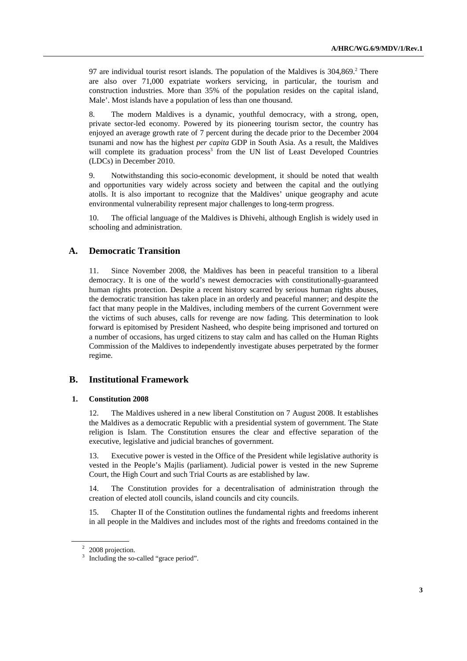97 are individual tourist resort islands. The population of the Maldives is  $304,869$ <sup>2</sup> There are also over 71,000 expatriate workers servicing, in particular, the tourism and construction industries. More than 35% of the population resides on the capital island, Male'. Most islands have a population of less than one thousand.

8. The modern Maldives is a dynamic, youthful democracy, with a strong, open, private sector-led economy. Powered by its pioneering tourism sector, the country has enjoyed an average growth rate of 7 percent during the decade prior to the December 2004 tsunami and now has the highest *per capita* GDP in South Asia. As a result, the Maldives will complete its graduation process<sup>3</sup> from the UN list of Least Developed Countries (LDCs) in December 2010.

9. Notwithstanding this socio-economic development, it should be noted that wealth and opportunities vary widely across society and between the capital and the outlying atolls. It is also important to recognize that the Maldives' unique geography and acute environmental vulnerability represent major challenges to long-term progress.

10. The official language of the Maldives is Dhivehi, although English is widely used in schooling and administration.

### **A. Democratic Transition**

11. Since November 2008, the Maldives has been in peaceful transition to a liberal democracy. It is one of the world's newest democracies with constitutionally-guaranteed human rights protection. Despite a recent history scarred by serious human rights abuses, the democratic transition has taken place in an orderly and peaceful manner; and despite the fact that many people in the Maldives, including members of the current Government were the victims of such abuses, calls for revenge are now fading. This determination to look forward is epitomised by President Nasheed, who despite being imprisoned and tortured on a number of occasions, has urged citizens to stay calm and has called on the Human Rights Commission of the Maldives to independently investigate abuses perpetrated by the former regime.

### **B. Institutional Framework**

#### **1. Constitution 2008**

12. The Maldives ushered in a new liberal Constitution on 7 August 2008. It establishes the Maldives as a democratic Republic with a presidential system of government. The State religion is Islam. The Constitution ensures the clear and effective separation of the executive, legislative and judicial branches of government.

13. Executive power is vested in the Office of the President while legislative authority is vested in the People's Majlis (parliament). Judicial power is vested in the new Supreme Court, the High Court and such Trial Courts as are established by law.

14. The Constitution provides for a decentralisation of administration through the creation of elected atoll councils, island councils and city councils.

15. Chapter II of the Constitution outlines the fundamental rights and freedoms inherent in all people in the Maldives and includes most of the rights and freedoms contained in the

<sup>&</sup>lt;sup>2</sup> 2008 projection.

<sup>&</sup>lt;sup>3</sup> Including the so-called "grace period".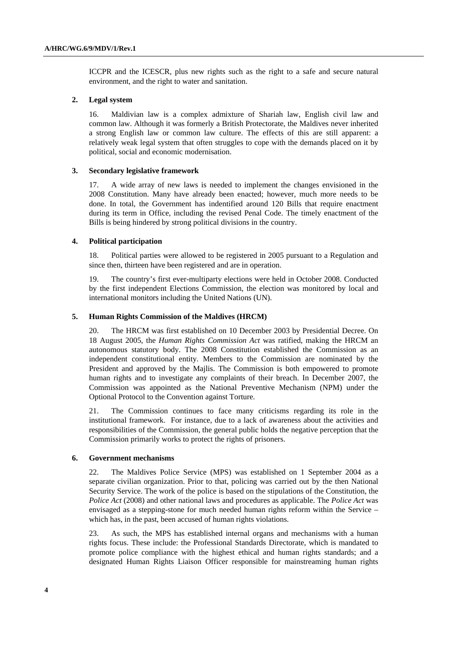ICCPR and the ICESCR, plus new rights such as the right to a safe and secure natural environment, and the right to water and sanitation.

#### **2. Legal system**

16. Maldivian law is a complex admixture of Shariah law, English civil law and common law. Although it was formerly a British Protectorate, the Maldives never inherited a strong English law or common law culture. The effects of this are still apparent: a relatively weak legal system that often struggles to cope with the demands placed on it by political, social and economic modernisation.

#### **3. Secondary legislative framework**

17. A wide array of new laws is needed to implement the changes envisioned in the 2008 Constitution. Many have already been enacted; however, much more needs to be done. In total, the Government has indentified around 120 Bills that require enactment during its term in Office, including the revised Penal Code. The timely enactment of the Bills is being hindered by strong political divisions in the country.

#### **4. Political participation**

18. Political parties were allowed to be registered in 2005 pursuant to a Regulation and since then, thirteen have been registered and are in operation.

19. The country's first ever-multiparty elections were held in October 2008. Conducted by the first independent Elections Commission, the election was monitored by local and international monitors including the United Nations (UN).

#### **5. Human Rights Commission of the Maldives (HRCM)**

20. The HRCM was first established on 10 December 2003 by Presidential Decree. On 18 August 2005, the *Human Rights Commission Act* was ratified, making the HRCM an autonomous statutory body. The 2008 Constitution established the Commission as an independent constitutional entity. Members to the Commission are nominated by the President and approved by the Majlis. The Commission is both empowered to promote human rights and to investigate any complaints of their breach. In December 2007, the Commission was appointed as the National Preventive Mechanism (NPM) under the Optional Protocol to the Convention against Torture.

21. The Commission continues to face many criticisms regarding its role in the institutional framework. For instance, due to a lack of awareness about the activities and responsibilities of the Commission, the general public holds the negative perception that the Commission primarily works to protect the rights of prisoners.

#### **6. Government mechanisms**

22. The Maldives Police Service (MPS) was established on 1 September 2004 as a separate civilian organization. Prior to that, policing was carried out by the then National Security Service. The work of the police is based on the stipulations of the Constitution, the *Police Act* (2008) and other national laws and procedures as applicable. The *Police Act* was envisaged as a stepping-stone for much needed human rights reform within the Service – which has, in the past, been accused of human rights violations.

23. As such, the MPS has established internal organs and mechanisms with a human rights focus. These include: the Professional Standards Directorate, which is mandated to promote police compliance with the highest ethical and human rights standards; and a designated Human Rights Liaison Officer responsible for mainstreaming human rights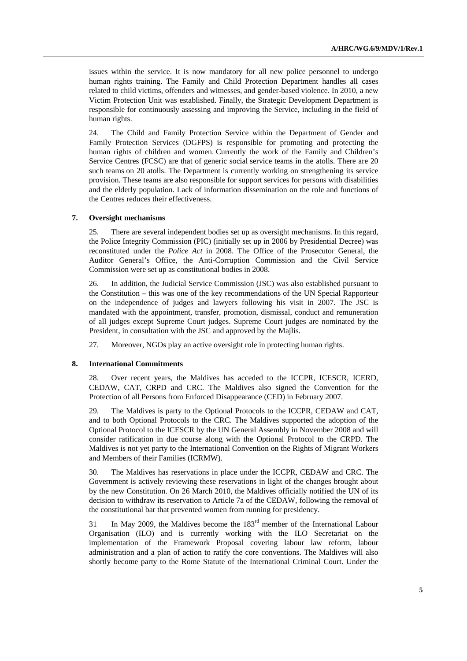issues within the service. It is now mandatory for all new police personnel to undergo human rights training. The Family and Child Protection Department handles all cases related to child victims, offenders and witnesses, and gender-based violence. In 2010, a new Victim Protection Unit was established. Finally, the Strategic Development Department is responsible for continuously assessing and improving the Service, including in the field of human rights.

24. The Child and Family Protection Service within the Department of Gender and Family Protection Services (DGFPS) is responsible for promoting and protecting the human rights of children and women. Currently the work of the Family and Children's Service Centres (FCSC) are that of generic social service teams in the atolls. There are 20 such teams on 20 atolls. The Department is currently working on strengthening its service provision. These teams are also responsible for support services for persons with disabilities and the elderly population. Lack of information dissemination on the role and functions of the Centres reduces their effectiveness.

#### **7. Oversight mechanisms**

25. There are several independent bodies set up as oversight mechanisms. In this regard, the Police Integrity Commission (PIC) (initially set up in 2006 by Presidential Decree) was reconstituted under the *Police Act* in 2008. The Office of the Prosecutor General, the Auditor General's Office, the Anti-Corruption Commission and the Civil Service Commission were set up as constitutional bodies in 2008.

26. In addition, the Judicial Service Commission (JSC) was also established pursuant to the Constitution – this was one of the key recommendations of the UN Special Rapporteur on the independence of judges and lawyers following his visit in 2007. The JSC is mandated with the appointment, transfer, promotion, dismissal, conduct and remuneration of all judges except Supreme Court judges. Supreme Court judges are nominated by the President, in consultation with the JSC and approved by the Majlis.

27. Moreover, NGOs play an active oversight role in protecting human rights.

#### **8. International Commitments**

28. Over recent years, the Maldives has acceded to the ICCPR, ICESCR, ICERD, CEDAW, CAT, CRPD and CRC. The Maldives also signed the Convention for the Protection of all Persons from Enforced Disappearance (CED) in February 2007.

29. The Maldives is party to the Optional Protocols to the ICCPR, CEDAW and CAT, and to both Optional Protocols to the CRC. The Maldives supported the adoption of the Optional Protocol to the ICESCR by the UN General Assembly in November 2008 and will consider ratification in due course along with the Optional Protocol to the CRPD. The Maldives is not yet party to the International Convention on the Rights of Migrant Workers and Members of their Families (ICRMW).

30. The Maldives has reservations in place under the ICCPR, CEDAW and CRC. The Government is actively reviewing these reservations in light of the changes brought about by the new Constitution. On 26 March 2010, the Maldives officially notified the UN of its decision to withdraw its reservation to Article 7a of the CEDAW, following the removal of the constitutional bar that prevented women from running for presidency.

31 In May 2009, the Maldives become the  $183<sup>rd</sup>$  member of the International Labour Organisation (ILO) and is currently working with the ILO Secretariat on the implementation of the Framework Proposal covering labour law reform, labour administration and a plan of action to ratify the core conventions. The Maldives will also shortly become party to the Rome Statute of the International Criminal Court. Under the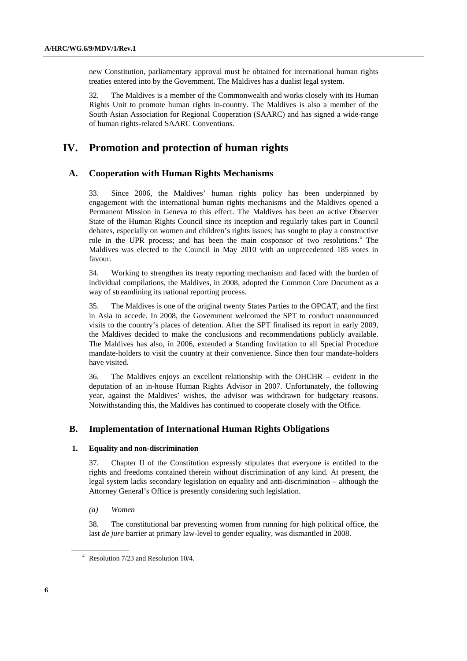new Constitution, parliamentary approval must be obtained for international human rights treaties entered into by the Government. The Maldives has a dualist legal system.

32. The Maldives is a member of the Commonwealth and works closely with its Human Rights Unit to promote human rights in-country. The Maldives is also a member of the South Asian Association for Regional Cooperation (SAARC) and has signed a wide-range of human rights-related SAARC Conventions.

# **IV. Promotion and protection of human rights**

### **A. Cooperation with Human Rights Mechanisms**

33. Since 2006, the Maldives' human rights policy has been underpinned by engagement with the international human rights mechanisms and the Maldives opened a Permanent Mission in Geneva to this effect. The Maldives has been an active Observer State of the Human Rights Council since its inception and regularly takes part in Council debates, especially on women and children's rights issues; has sought to play a constructive role in the UPR process; and has been the main cosponsor of two resolutions.<sup>4</sup> The Maldives was elected to the Council in May 2010 with an unprecedented 185 votes in favour.

34. Working to strengthen its treaty reporting mechanism and faced with the burden of individual compilations, the Maldives, in 2008, adopted the Common Core Document as a way of streamlining its national reporting process.

35. The Maldives is one of the original twenty States Parties to the OPCAT, and the first in Asia to accede. In 2008, the Government welcomed the SPT to conduct unannounced visits to the country's places of detention. After the SPT finalised its report in early 2009, the Maldives decided to make the conclusions and recommendations publicly available. The Maldives has also, in 2006, extended a Standing Invitation to all Special Procedure mandate-holders to visit the country at their convenience. Since then four mandate-holders have visited.

36. The Maldives enjoys an excellent relationship with the OHCHR – evident in the deputation of an in-house Human Rights Advisor in 2007. Unfortunately, the following year, against the Maldives' wishes, the advisor was withdrawn for budgetary reasons. Notwithstanding this, the Maldives has continued to cooperate closely with the Office.

### **B. Implementation of International Human Rights Obligations**

#### **1. Equality and non-discrimination**

37. Chapter II of the Constitution expressly stipulates that everyone is entitled to the rights and freedoms contained therein without discrimination of any kind. At present, the legal system lacks secondary legislation on equality and anti-discrimination – although the Attorney General's Office is presently considering such legislation.

 *(a) Women* 

38. The constitutional bar preventing women from running for high political office, the last *de jure* barrier at primary law-level to gender equality, was dismantled in 2008.

<sup>4</sup> Resolution 7/23 and Resolution 10/4.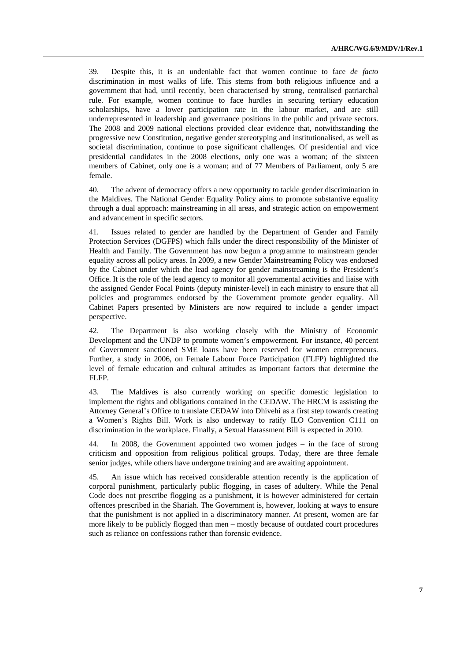39. Despite this, it is an undeniable fact that women continue to face *de facto* discrimination in most walks of life. This stems from both religious influence and a government that had, until recently, been characterised by strong, centralised patriarchal rule. For example, women continue to face hurdles in securing tertiary education scholarships, have a lower participation rate in the labour market, and are still underrepresented in leadership and governance positions in the public and private sectors. The 2008 and 2009 national elections provided clear evidence that, notwithstanding the progressive new Constitution, negative gender stereotyping and institutionalised, as well as societal discrimination, continue to pose significant challenges. Of presidential and vice presidential candidates in the 2008 elections, only one was a woman; of the sixteen members of Cabinet, only one is a woman; and of 77 Members of Parliament, only 5 are female.

40. The advent of democracy offers a new opportunity to tackle gender discrimination in the Maldives. The National Gender Equality Policy aims to promote substantive equality through a dual approach: mainstreaming in all areas, and strategic action on empowerment and advancement in specific sectors.

41. Issues related to gender are handled by the Department of Gender and Family Protection Services (DGFPS) which falls under the direct responsibility of the Minister of Health and Family. The Government has now begun a programme to mainstream gender equality across all policy areas. In 2009, a new Gender Mainstreaming Policy was endorsed by the Cabinet under which the lead agency for gender mainstreaming is the President's Office. It is the role of the lead agency to monitor all governmental activities and liaise with the assigned Gender Focal Points (deputy minister-level) in each ministry to ensure that all policies and programmes endorsed by the Government promote gender equality. All Cabinet Papers presented by Ministers are now required to include a gender impact perspective.

42. The Department is also working closely with the Ministry of Economic Development and the UNDP to promote women's empowerment. For instance, 40 percent of Government sanctioned SME loans have been reserved for women entrepreneurs. Further, a study in 2006, on Female Labour Force Participation (FLFP) highlighted the level of female education and cultural attitudes as important factors that determine the FLFP.

43. The Maldives is also currently working on specific domestic legislation to implement the rights and obligations contained in the CEDAW. The HRCM is assisting the Attorney General's Office to translate CEDAW into Dhivehi as a first step towards creating a Women's Rights Bill. Work is also underway to ratify ILO Convention C111 on discrimination in the workplace. Finally, a Sexual Harassment Bill is expected in 2010.

44. In 2008, the Government appointed two women judges – in the face of strong criticism and opposition from religious political groups. Today, there are three female senior judges, while others have undergone training and are awaiting appointment.

45. An issue which has received considerable attention recently is the application of corporal punishment, particularly public flogging, in cases of adultery. While the Penal Code does not prescribe flogging as a punishment, it is however administered for certain offences prescribed in the Shariah. The Government is, however, looking at ways to ensure that the punishment is not applied in a discriminatory manner. At present, women are far more likely to be publicly flogged than men – mostly because of outdated court procedures such as reliance on confessions rather than forensic evidence.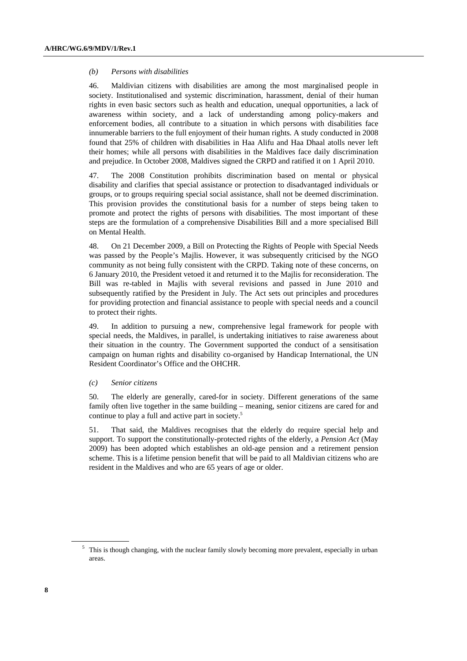#### *(b) Persons with disabilities*

46. Maldivian citizens with disabilities are among the most marginalised people in society. Institutionalised and systemic discrimination, harassment, denial of their human rights in even basic sectors such as health and education, unequal opportunities, a lack of awareness within society, and a lack of understanding among policy-makers and enforcement bodies, all contribute to a situation in which persons with disabilities face innumerable barriers to the full enjoyment of their human rights. A study conducted in 2008 found that 25% of children with disabilities in Haa Alifu and Haa Dhaal atolls never left their homes; while all persons with disabilities in the Maldives face daily discrimination and prejudice. In October 2008, Maldives signed the CRPD and ratified it on 1 April 2010.

47. The 2008 Constitution prohibits discrimination based on mental or physical disability and clarifies that special assistance or protection to disadvantaged individuals or groups, or to groups requiring special social assistance, shall not be deemed discrimination. This provision provides the constitutional basis for a number of steps being taken to promote and protect the rights of persons with disabilities. The most important of these steps are the formulation of a comprehensive Disabilities Bill and a more specialised Bill on Mental Health.

48. On 21 December 2009, a Bill on Protecting the Rights of People with Special Needs was passed by the People's Majlis. However, it was subsequently criticised by the NGO community as not being fully consistent with the CRPD. Taking note of these concerns, on 6 January 2010, the President vetoed it and returned it to the Majlis for reconsideration. The Bill was re-tabled in Majlis with several revisions and passed in June 2010 and subsequently ratified by the President in July. The Act sets out principles and procedures for providing protection and financial assistance to people with special needs and a council to protect their rights.

49. In addition to pursuing a new, comprehensive legal framework for people with special needs, the Maldives, in parallel, is undertaking initiatives to raise awareness about their situation in the country. The Government supported the conduct of a sensitisation campaign on human rights and disability co-organised by Handicap International, the UN Resident Coordinator's Office and the OHCHR.

#### *(c) Senior citizens*

50. The elderly are generally, cared-for in society. Different generations of the same family often live together in the same building – meaning, senior citizens are cared for and continue to play a full and active part in society.<sup>5</sup>

51. That said, the Maldives recognises that the elderly do require special help and support. To support the constitutionally-protected rights of the elderly, a *Pension Act* (May 2009) has been adopted which establishes an old-age pension and a retirement pension scheme. This is a lifetime pension benefit that will be paid to all Maldivian citizens who are resident in the Maldives and who are 65 years of age or older.

<sup>&</sup>lt;sup>5</sup> This is though changing, with the nuclear family slowly becoming more prevalent, especially in urban areas.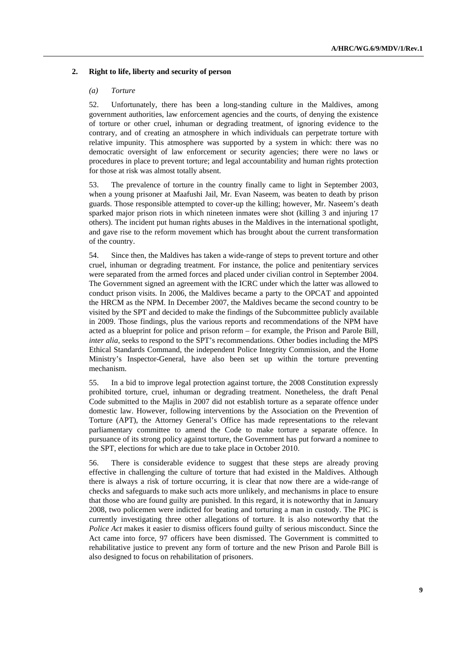#### **2. Right to life, liberty and security of person**

#### *(a) Torture*

52. Unfortunately, there has been a long-standing culture in the Maldives, among government authorities, law enforcement agencies and the courts, of denying the existence of torture or other cruel, inhuman or degrading treatment, of ignoring evidence to the contrary, and of creating an atmosphere in which individuals can perpetrate torture with relative impunity. This atmosphere was supported by a system in which: there was no democratic oversight of law enforcement or security agencies; there were no laws or procedures in place to prevent torture; and legal accountability and human rights protection for those at risk was almost totally absent.

53. The prevalence of torture in the country finally came to light in September 2003, when a young prisoner at Maafushi Jail, Mr. Evan Naseem, was beaten to death by prison guards. Those responsible attempted to cover-up the killing; however, Mr. Naseem's death sparked major prison riots in which nineteen inmates were shot (killing 3 and injuring 17 others). The incident put human rights abuses in the Maldives in the international spotlight, and gave rise to the reform movement which has brought about the current transformation of the country.

54. Since then, the Maldives has taken a wide-range of steps to prevent torture and other cruel, inhuman or degrading treatment. For instance, the police and penitentiary services were separated from the armed forces and placed under civilian control in September 2004. The Government signed an agreement with the ICRC under which the latter was allowed to conduct prison visits. In 2006, the Maldives became a party to the OPCAT and appointed the HRCM as the NPM. In December 2007, the Maldives became the second country to be visited by the SPT and decided to make the findings of the Subcommittee publicly available in 2009. Those findings, plus the various reports and recommendations of the NPM have acted as a blueprint for police and prison reform – for example, the Prison and Parole Bill, *inter alia*, seeks to respond to the SPT's recommendations. Other bodies including the MPS Ethical Standards Command, the independent Police Integrity Commission, and the Home Ministry's Inspector-General, have also been set up within the torture preventing mechanism.

55. In a bid to improve legal protection against torture, the 2008 Constitution expressly prohibited torture, cruel, inhuman or degrading treatment. Nonetheless, the draft Penal Code submitted to the Majlis in 2007 did not establish torture as a separate offence under domestic law. However, following interventions by the Association on the Prevention of Torture (APT), the Attorney General's Office has made representations to the relevant parliamentary committee to amend the Code to make torture a separate offence. In pursuance of its strong policy against torture, the Government has put forward a nominee to the SPT, elections for which are due to take place in October 2010.

56. There is considerable evidence to suggest that these steps are already proving effective in challenging the culture of torture that had existed in the Maldives. Although there is always a risk of torture occurring, it is clear that now there are a wide-range of checks and safeguards to make such acts more unlikely, and mechanisms in place to ensure that those who are found guilty are punished. In this regard, it is noteworthy that in January 2008, two policemen were indicted for beating and torturing a man in custody. The PIC is currently investigating three other allegations of torture. It is also noteworthy that the *Police Act* makes it easier to dismiss officers found guilty of serious misconduct. Since the Act came into force, 97 officers have been dismissed. The Government is committed to rehabilitative justice to prevent any form of torture and the new Prison and Parole Bill is also designed to focus on rehabilitation of prisoners.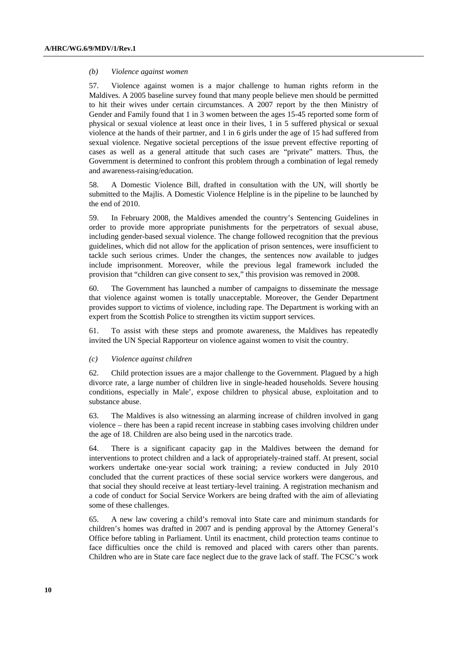#### *(b) Violence against women*

57. Violence against women is a major challenge to human rights reform in the Maldives. A 2005 baseline survey found that many people believe men should be permitted to hit their wives under certain circumstances. A 2007 report by the then Ministry of Gender and Family found that 1 in 3 women between the ages 15-45 reported some form of physical or sexual violence at least once in their lives, 1 in 5 suffered physical or sexual violence at the hands of their partner, and 1 in 6 girls under the age of 15 had suffered from sexual violence. Negative societal perceptions of the issue prevent effective reporting of cases as well as a general attitude that such cases are "private" matters. Thus, the Government is determined to confront this problem through a combination of legal remedy and awareness-raising/education.

58. A Domestic Violence Bill, drafted in consultation with the UN, will shortly be submitted to the Majlis. A Domestic Violence Helpline is in the pipeline to be launched by the end of 2010.

59. In February 2008, the Maldives amended the country's Sentencing Guidelines in order to provide more appropriate punishments for the perpetrators of sexual abuse, including gender-based sexual violence. The change followed recognition that the previous guidelines, which did not allow for the application of prison sentences, were insufficient to tackle such serious crimes. Under the changes, the sentences now available to judges include imprisonment. Moreover, while the previous legal framework included the provision that "children can give consent to sex," this provision was removed in 2008.

60. The Government has launched a number of campaigns to disseminate the message that violence against women is totally unacceptable. Moreover, the Gender Department provides support to victims of violence, including rape. The Department is working with an expert from the Scottish Police to strengthen its victim support services.

61. To assist with these steps and promote awareness, the Maldives has repeatedly invited the UN Special Rapporteur on violence against women to visit the country.

#### *(c) Violence against children*

62. Child protection issues are a major challenge to the Government. Plagued by a high divorce rate, a large number of children live in single-headed households. Severe housing conditions, especially in Male', expose children to physical abuse, exploitation and to substance abuse.

63. The Maldives is also witnessing an alarming increase of children involved in gang violence – there has been a rapid recent increase in stabbing cases involving children under the age of 18. Children are also being used in the narcotics trade.

64. There is a significant capacity gap in the Maldives between the demand for interventions to protect children and a lack of appropriately-trained staff. At present, social workers undertake one-year social work training; a review conducted in July 2010 concluded that the current practices of these social service workers were dangerous, and that social they should receive at least tertiary-level training. A registration mechanism and a code of conduct for Social Service Workers are being drafted with the aim of alleviating some of these challenges.

65. A new law covering a child's removal into State care and minimum standards for children's homes was drafted in 2007 and is pending approval by the Attorney General's Office before tabling in Parliament. Until its enactment, child protection teams continue to face difficulties once the child is removed and placed with carers other than parents. Children who are in State care face neglect due to the grave lack of staff. The FCSC's work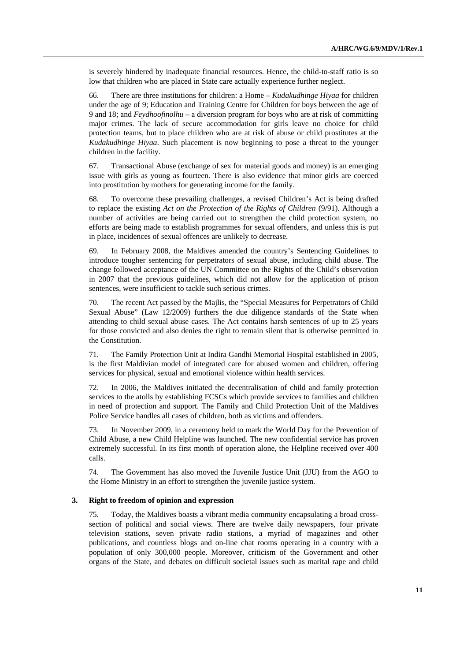is severely hindered by inadequate financial resources. Hence, the child-to-staff ratio is so low that children who are placed in State care actually experience further neglect.

66. There are three institutions for children: a Home – *Kudakudhinge Hiyaa* for children under the age of 9; Education and Training Centre for Children for boys between the age of 9 and 18; and *Feydhoofinolhu* – a diversion program for boys who are at risk of committing major crimes. The lack of secure accommodation for girls leave no choice for child protection teams, but to place children who are at risk of abuse or child prostitutes at the *Kudakudhinge Hiyaa*. Such placement is now beginning to pose a threat to the younger children in the facility.

67. Transactional Abuse (exchange of sex for material goods and money) is an emerging issue with girls as young as fourteen. There is also evidence that minor girls are coerced into prostitution by mothers for generating income for the family.

68. To overcome these prevailing challenges, a revised Children's Act is being drafted to replace the existing *Act on the Protection of the Rights of Children* (9/91). Although a number of activities are being carried out to strengthen the child protection system, no efforts are being made to establish programmes for sexual offenders, and unless this is put in place, incidences of sexual offences are unlikely to decrease.

69. In February 2008, the Maldives amended the country's Sentencing Guidelines to introduce tougher sentencing for perpetrators of sexual abuse, including child abuse. The change followed acceptance of the UN Committee on the Rights of the Child's observation in 2007 that the previous guidelines, which did not allow for the application of prison sentences, were insufficient to tackle such serious crimes.

70. The recent Act passed by the Majlis, the "Special Measures for Perpetrators of Child Sexual Abuse" (Law 12/2009) furthers the due diligence standards of the State when attending to child sexual abuse cases. The Act contains harsh sentences of up to 25 years for those convicted and also denies the right to remain silent that is otherwise permitted in the Constitution.

71. The Family Protection Unit at Indira Gandhi Memorial Hospital established in 2005, is the first Maldivian model of integrated care for abused women and children, offering services for physical, sexual and emotional violence within health services.

72. In 2006, the Maldives initiated the decentralisation of child and family protection services to the atolls by establishing FCSCs which provide services to families and children in need of protection and support. The Family and Child Protection Unit of the Maldives Police Service handles all cases of children, both as victims and offenders.

73. In November 2009, in a ceremony held to mark the World Day for the Prevention of Child Abuse, a new Child Helpline was launched. The new confidential service has proven extremely successful. In its first month of operation alone, the Helpline received over 400 calls.

74. The Government has also moved the Juvenile Justice Unit (JJU) from the AGO to the Home Ministry in an effort to strengthen the juvenile justice system.

#### **3. Right to freedom of opinion and expression**

75. Today, the Maldives boasts a vibrant media community encapsulating a broad crosssection of political and social views. There are twelve daily newspapers, four private television stations, seven private radio stations, a myriad of magazines and other publications, and countless blogs and on-line chat rooms operating in a country with a population of only 300,000 people. Moreover, criticism of the Government and other organs of the State, and debates on difficult societal issues such as marital rape and child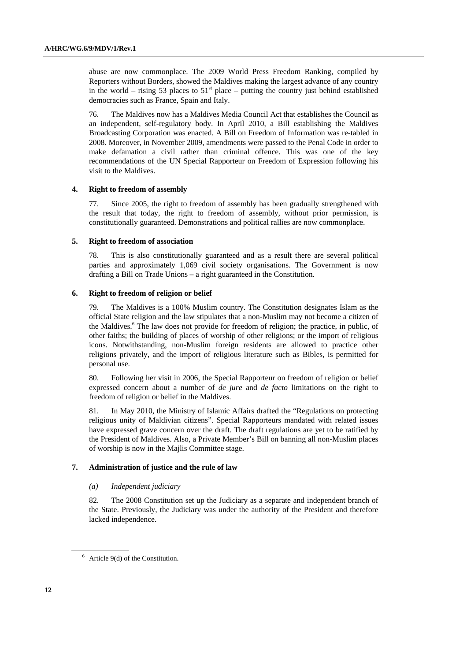abuse are now commonplace. The 2009 World Press Freedom Ranking, compiled by Reporters without Borders, showed the Maldives making the largest advance of any country in the world – rising 53 places to  $51<sup>st</sup>$  place – putting the country just behind established democracies such as France, Spain and Italy.

76. The Maldives now has a Maldives Media Council Act that establishes the Council as an independent, self-regulatory body. In April 2010, a Bill establishing the Maldives Broadcasting Corporation was enacted. A Bill on Freedom of Information was re-tabled in 2008. Moreover, in November 2009, amendments were passed to the Penal Code in order to make defamation a civil rather than criminal offence. This was one of the key recommendations of the UN Special Rapporteur on Freedom of Expression following his visit to the Maldives.

#### **4. Right to freedom of assembly**

77. Since 2005, the right to freedom of assembly has been gradually strengthened with the result that today, the right to freedom of assembly, without prior permission, is constitutionally guaranteed. Demonstrations and political rallies are now commonplace.

#### **5. Right to freedom of association**

78. This is also constitutionally guaranteed and as a result there are several political parties and approximately 1,069 civil society organisations. The Government is now drafting a Bill on Trade Unions – a right guaranteed in the Constitution.

#### **6. Right to freedom of religion or belief**

79. The Maldives is a 100% Muslim country. The Constitution designates Islam as the official State religion and the law stipulates that a non-Muslim may not become a citizen of the Maldives.<sup>6</sup> The law does not provide for freedom of religion; the practice, in public, of other faiths; the building of places of worship of other religions; or the import of religious icons. Notwithstanding, non-Muslim foreign residents are allowed to practice other religions privately, and the import of religious literature such as Bibles, is permitted for personal use.

80. Following her visit in 2006, the Special Rapporteur on freedom of religion or belief expressed concern about a number of *de jure* and *de facto* limitations on the right to freedom of religion or belief in the Maldives.

81. In May 2010, the Ministry of Islamic Affairs drafted the "Regulations on protecting religious unity of Maldivian citizens". Special Rapporteurs mandated with related issues have expressed grave concern over the draft. The draft regulations are yet to be ratified by the President of Maldives. Also, a Private Member's Bill on banning all non-Muslim places of worship is now in the Majlis Committee stage.

### **7. Administration of justice and the rule of law**

#### *(a) Independent judiciary*

82. The 2008 Constitution set up the Judiciary as a separate and independent branch of the State. Previously, the Judiciary was under the authority of the President and therefore lacked independence.

 $6$  Article 9(d) of the Constitution.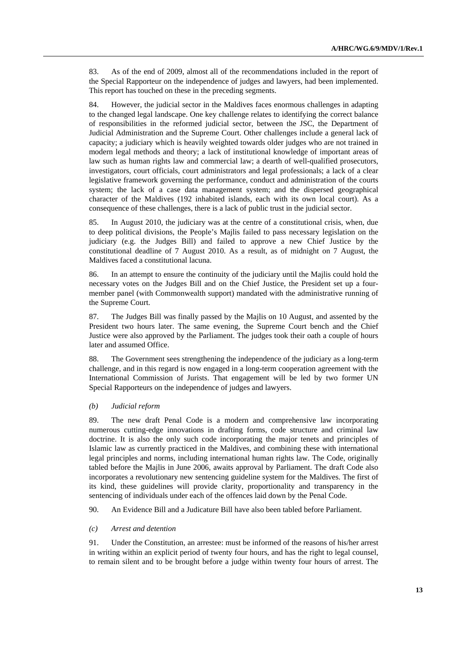83. As of the end of 2009, almost all of the recommendations included in the report of the Special Rapporteur on the independence of judges and lawyers, had been implemented. This report has touched on these in the preceding segments.

84. However, the judicial sector in the Maldives faces enormous challenges in adapting to the changed legal landscape. One key challenge relates to identifying the correct balance of responsibilities in the reformed judicial sector, between the JSC, the Department of Judicial Administration and the Supreme Court. Other challenges include a general lack of capacity; a judiciary which is heavily weighted towards older judges who are not trained in modern legal methods and theory; a lack of institutional knowledge of important areas of law such as human rights law and commercial law; a dearth of well-qualified prosecutors, investigators, court officials, court administrators and legal professionals; a lack of a clear legislative framework governing the performance, conduct and administration of the courts system; the lack of a case data management system; and the dispersed geographical character of the Maldives (192 inhabited islands, each with its own local court). As a consequence of these challenges, there is a lack of public trust in the judicial sector.

85. In August 2010, the judiciary was at the centre of a constitutional crisis, when, due to deep political divisions, the People's Majlis failed to pass necessary legislation on the judiciary (e.g. the Judges Bill) and failed to approve a new Chief Justice by the constitutional deadline of 7 August 2010. As a result, as of midnight on 7 August, the Maldives faced a constitutional lacuna.

86. In an attempt to ensure the continuity of the judiciary until the Majlis could hold the necessary votes on the Judges Bill and on the Chief Justice, the President set up a fourmember panel (with Commonwealth support) mandated with the administrative running of the Supreme Court.

87. The Judges Bill was finally passed by the Majlis on 10 August, and assented by the President two hours later. The same evening, the Supreme Court bench and the Chief Justice were also approved by the Parliament. The judges took their oath a couple of hours later and assumed Office.

88. The Government sees strengthening the independence of the judiciary as a long-term challenge, and in this regard is now engaged in a long-term cooperation agreement with the International Commission of Jurists. That engagement will be led by two former UN Special Rapporteurs on the independence of judges and lawyers.

#### *(b) Judicial reform*

89. The new draft Penal Code is a modern and comprehensive law incorporating numerous cutting-edge innovations in drafting forms, code structure and criminal law doctrine. It is also the only such code incorporating the major tenets and principles of Islamic law as currently practiced in the Maldives, and combining these with international legal principles and norms, including international human rights law. The Code, originally tabled before the Majlis in June 2006, awaits approval by Parliament. The draft Code also incorporates a revolutionary new sentencing guideline system for the Maldives. The first of its kind, these guidelines will provide clarity, proportionality and transparency in the sentencing of individuals under each of the offences laid down by the Penal Code.

90. An Evidence Bill and a Judicature Bill have also been tabled before Parliament.

#### *(c) Arrest and detention*

91. Under the Constitution, an arrestee: must be informed of the reasons of his/her arrest in writing within an explicit period of twenty four hours, and has the right to legal counsel, to remain silent and to be brought before a judge within twenty four hours of arrest. The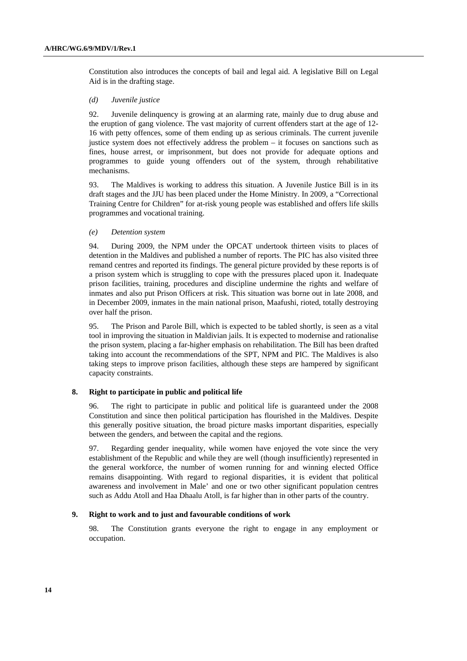Constitution also introduces the concepts of bail and legal aid. A legislative Bill on Legal Aid is in the drafting stage.

#### *(d) Juvenile justice*

92. Juvenile delinquency is growing at an alarming rate, mainly due to drug abuse and the eruption of gang violence. The vast majority of current offenders start at the age of 12- 16 with petty offences, some of them ending up as serious criminals. The current juvenile justice system does not effectively address the problem – it focuses on sanctions such as fines, house arrest, or imprisonment, but does not provide for adequate options and programmes to guide young offenders out of the system, through rehabilitative mechanisms.

93. The Maldives is working to address this situation. A Juvenile Justice Bill is in its draft stages and the JJU has been placed under the Home Ministry. In 2009, a "Correctional Training Centre for Children" for at-risk young people was established and offers life skills programmes and vocational training.

#### *(e) Detention system*

94. During 2009, the NPM under the OPCAT undertook thirteen visits to places of detention in the Maldives and published a number of reports. The PIC has also visited three remand centres and reported its findings. The general picture provided by these reports is of a prison system which is struggling to cope with the pressures placed upon it. Inadequate prison facilities, training, procedures and discipline undermine the rights and welfare of inmates and also put Prison Officers at risk. This situation was borne out in late 2008, and in December 2009, inmates in the main national prison, Maafushi, rioted, totally destroying over half the prison.

95. The Prison and Parole Bill, which is expected to be tabled shortly, is seen as a vital tool in improving the situation in Maldivian jails. It is expected to modernise and rationalise the prison system, placing a far-higher emphasis on rehabilitation. The Bill has been drafted taking into account the recommendations of the SPT, NPM and PIC. The Maldives is also taking steps to improve prison facilities, although these steps are hampered by significant capacity constraints.

#### **8. Right to participate in public and political life**

96. The right to participate in public and political life is guaranteed under the 2008 Constitution and since then political participation has flourished in the Maldives. Despite this generally positive situation, the broad picture masks important disparities, especially between the genders, and between the capital and the regions.

97. Regarding gender inequality, while women have enjoyed the vote since the very establishment of the Republic and while they are well (though insufficiently) represented in the general workforce, the number of women running for and winning elected Office remains disappointing. With regard to regional disparities, it is evident that political awareness and involvement in Male' and one or two other significant population centres such as Addu Atoll and Haa Dhaalu Atoll, is far higher than in other parts of the country.

### **9. Right to work and to just and favourable conditions of work**

98. The Constitution grants everyone the right to engage in any employment or occupation.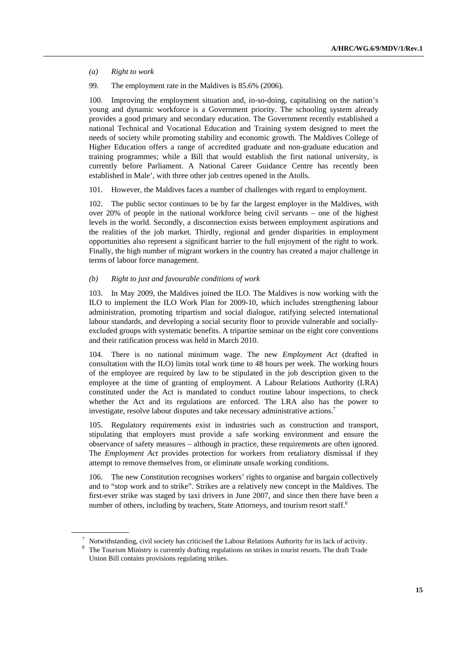*(a) Right to work* 

99. The employment rate in the Maldives is 85.6% (2006).

100. Improving the employment situation and, in-so-doing, capitalising on the nation's young and dynamic workforce is a Government priority. The schooling system already provides a good primary and secondary education. The Government recently established a national Technical and Vocational Education and Training system designed to meet the needs of society while promoting stability and economic growth. The Maldives College of Higher Education offers a range of accredited graduate and non-graduate education and training programmes; while a Bill that would establish the first national university, is currently before Parliament. A National Career Guidance Centre has recently been established in Male', with three other job centres opened in the Atolls.

101. However, the Maldives faces a number of challenges with regard to employment.

102. The public sector continues to be by far the largest employer in the Maldives, with over 20% of people in the national workforce being civil servants – one of the highest levels in the world. Secondly, a disconnection exists between employment aspirations and the realities of the job market. Thirdly, regional and gender disparities in employment opportunities also represent a significant barrier to the full enjoyment of the right to work. Finally, the high number of migrant workers in the country has created a major challenge in terms of labour force management.

#### *(b) Right to just and favourable conditions of work*

103. In May 2009, the Maldives joined the ILO. The Maldives is now working with the ILO to implement the ILO Work Plan for 2009-10, which includes strengthening labour administration, promoting tripartism and social dialogue, ratifying selected international labour standards, and developing a social security floor to provide vulnerable and sociallyexcluded groups with systematic benefits. A tripartite seminar on the eight core conventions and their ratification process was held in March 2010.

104. There is no national minimum wage. The new *Employment Act* (drafted in consultation with the ILO) limits total work time to 48 hours per week. The working hours of the employee are required by law to be stipulated in the job description given to the employee at the time of granting of employment. A Labour Relations Authority (LRA) constituted under the Act is mandated to conduct routine labour inspections, to check whether the Act and its regulations are enforced. The LRA also has the power to investigate, resolve labour disputes and take necessary administrative actions.<sup>7</sup>

105. Regulatory requirements exist in industries such as construction and transport, stipulating that employers must provide a safe working environment and ensure the observance of safety measures – although in practice, these requirements are often ignored. The *Employment Act* provides protection for workers from retaliatory dismissal if they attempt to remove themselves from, or eliminate unsafe working conditions.

106. The new Constitution recognises workers' rights to organise and bargain collectively and to "stop work and to strike". Strikes are a relatively new concept in the Maldives. The first-ever strike was staged by taxi drivers in June 2007, and since then there have been a number of others, including by teachers, State Attorneys, and tourism resort staff.<sup>8</sup>

 $^7$  Notwithstanding, civil society has criticised the Labour Relations Authority for its lack of activity.

<sup>&</sup>lt;sup>8</sup> The Tourism Ministry is currently drafting regulations on strikes in tourist resorts. The draft Trade Union Bill contains provisions regulating strikes.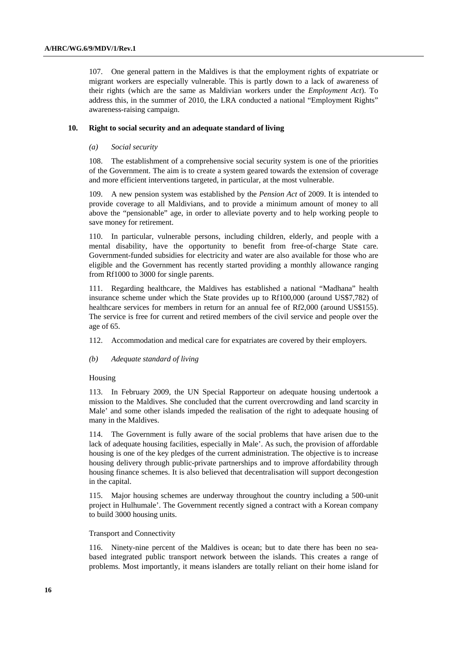107. One general pattern in the Maldives is that the employment rights of expatriate or migrant workers are especially vulnerable. This is partly down to a lack of awareness of their rights (which are the same as Maldivian workers under the *Employment Act*). To address this, in the summer of 2010, the LRA conducted a national "Employment Rights" awareness-raising campaign.

#### **10. Right to social security and an adequate standard of living**

#### *(a) Social security*

108. The establishment of a comprehensive social security system is one of the priorities of the Government. The aim is to create a system geared towards the extension of coverage and more efficient interventions targeted, in particular, at the most vulnerable.

109. A new pension system was established by the *Pension Act* of 2009. It is intended to provide coverage to all Maldivians, and to provide a minimum amount of money to all above the "pensionable" age, in order to alleviate poverty and to help working people to save money for retirement.

110. In particular, vulnerable persons, including children, elderly, and people with a mental disability, have the opportunity to benefit from free-of-charge State care. Government-funded subsidies for electricity and water are also available for those who are eligible and the Government has recently started providing a monthly allowance ranging from Rf1000 to 3000 for single parents.

111. Regarding healthcare, the Maldives has established a national "Madhana" health insurance scheme under which the State provides up to Rf100,000 (around US\$7,782) of healthcare services for members in return for an annual fee of Rf2,000 (around US\$155). The service is free for current and retired members of the civil service and people over the age of 65.

112. Accommodation and medical care for expatriates are covered by their employers.

 *(b) Adequate standard of living* 

#### Housing

113. In February 2009, the UN Special Rapporteur on adequate housing undertook a mission to the Maldives. She concluded that the current overcrowding and land scarcity in Male' and some other islands impeded the realisation of the right to adequate housing of many in the Maldives.

114. The Government is fully aware of the social problems that have arisen due to the lack of adequate housing facilities, especially in Male'. As such, the provision of affordable housing is one of the key pledges of the current administration. The objective is to increase housing delivery through public-private partnerships and to improve affordability through housing finance schemes. It is also believed that decentralisation will support decongestion in the capital.

115. Major housing schemes are underway throughout the country including a 500-unit project in Hulhumale'. The Government recently signed a contract with a Korean company to build 3000 housing units.

#### Transport and Connectivity

116. Ninety-nine percent of the Maldives is ocean; but to date there has been no seabased integrated public transport network between the islands. This creates a range of problems. Most importantly, it means islanders are totally reliant on their home island for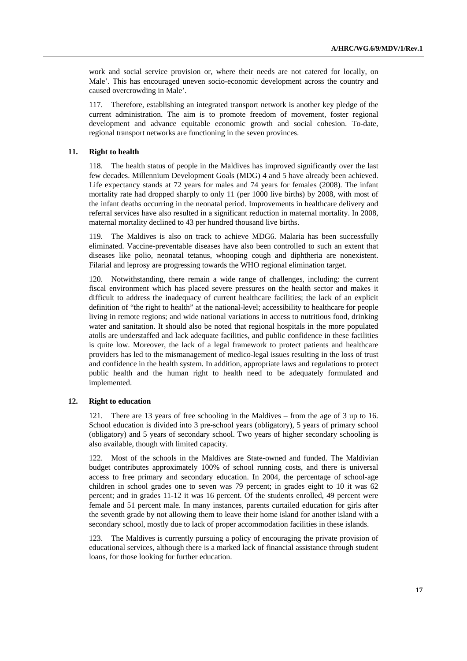work and social service provision or, where their needs are not catered for locally, on Male'. This has encouraged uneven socio-economic development across the country and caused overcrowding in Male'.

117. Therefore, establishing an integrated transport network is another key pledge of the current administration. The aim is to promote freedom of movement, foster regional development and advance equitable economic growth and social cohesion. To-date, regional transport networks are functioning in the seven provinces.

#### **11. Right to health**

118. The health status of people in the Maldives has improved significantly over the last few decades. Millennium Development Goals (MDG) 4 and 5 have already been achieved. Life expectancy stands at 72 years for males and 74 years for females (2008). The infant mortality rate had dropped sharply to only 11 (per 1000 live births) by 2008, with most of the infant deaths occurring in the neonatal period. Improvements in healthcare delivery and referral services have also resulted in a significant reduction in maternal mortality. In 2008, maternal mortality declined to 43 per hundred thousand live births.

119. The Maldives is also on track to achieve MDG6. Malaria has been successfully eliminated. Vaccine-preventable diseases have also been controlled to such an extent that diseases like polio, neonatal tetanus, whooping cough and diphtheria are nonexistent. Filarial and leprosy are progressing towards the WHO regional elimination target.

120. Notwithstanding, there remain a wide range of challenges, including: the current fiscal environment which has placed severe pressures on the health sector and makes it difficult to address the inadequacy of current healthcare facilities; the lack of an explicit definition of "the right to health" at the national-level; accessibility to healthcare for people living in remote regions; and wide national variations in access to nutritious food, drinking water and sanitation. It should also be noted that regional hospitals in the more populated atolls are understaffed and lack adequate facilities, and public confidence in these facilities is quite low. Moreover, the lack of a legal framework to protect patients and healthcare providers has led to the mismanagement of medico-legal issues resulting in the loss of trust and confidence in the health system. In addition, appropriate laws and regulations to protect public health and the human right to health need to be adequately formulated and implemented.

### **12. Right to education**

121. There are 13 years of free schooling in the Maldives – from the age of 3 up to 16. School education is divided into 3 pre-school years (obligatory), 5 years of primary school (obligatory) and 5 years of secondary school. Two years of higher secondary schooling is also available, though with limited capacity.

122. Most of the schools in the Maldives are State-owned and funded. The Maldivian budget contributes approximately 100% of school running costs, and there is universal access to free primary and secondary education. In 2004, the percentage of school-age children in school grades one to seven was 79 percent; in grades eight to 10 it was 62 percent; and in grades 11-12 it was 16 percent. Of the students enrolled, 49 percent were female and 51 percent male. In many instances, parents curtailed education for girls after the seventh grade by not allowing them to leave their home island for another island with a secondary school, mostly due to lack of proper accommodation facilities in these islands.

123. The Maldives is currently pursuing a policy of encouraging the private provision of educational services, although there is a marked lack of financial assistance through student loans, for those looking for further education.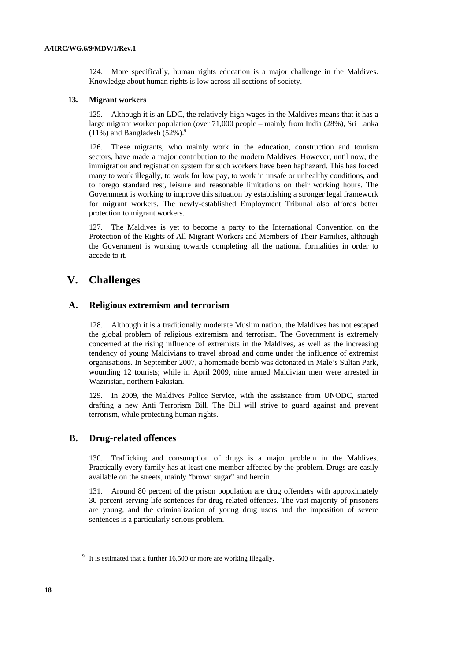124. More specifically, human rights education is a major challenge in the Maldives. Knowledge about human rights is low across all sections of society.

#### **13. Migrant workers**

125. Although it is an LDC, the relatively high wages in the Maldives means that it has a large migrant worker population (over 71,000 people – mainly from India (28%), Sri Lanka  $(11\%)$  and Bangladesh  $(52\%)$ .<sup>9</sup>

126. These migrants, who mainly work in the education, construction and tourism sectors, have made a major contribution to the modern Maldives. However, until now, the immigration and registration system for such workers have been haphazard. This has forced many to work illegally, to work for low pay, to work in unsafe or unhealthy conditions, and to forego standard rest, leisure and reasonable limitations on their working hours. The Government is working to improve this situation by establishing a stronger legal framework for migrant workers. The newly-established Employment Tribunal also affords better protection to migrant workers.

127. The Maldives is yet to become a party to the International Convention on the Protection of the Rights of All Migrant Workers and Members of Their Families, although the Government is working towards completing all the national formalities in order to accede to it.

# **V. Challenges**

### **A. Religious extremism and terrorism**

128. Although it is a traditionally moderate Muslim nation, the Maldives has not escaped the global problem of religious extremism and terrorism. The Government is extremely concerned at the rising influence of extremists in the Maldives, as well as the increasing tendency of young Maldivians to travel abroad and come under the influence of extremist organisations. In September 2007, a homemade bomb was detonated in Male's Sultan Park, wounding 12 tourists; while in April 2009, nine armed Maldivian men were arrested in Waziristan, northern Pakistan.

129. In 2009, the Maldives Police Service, with the assistance from UNODC, started drafting a new Anti Terrorism Bill. The Bill will strive to guard against and prevent terrorism, while protecting human rights.

### **B. Drug-related offences**

130. Trafficking and consumption of drugs is a major problem in the Maldives. Practically every family has at least one member affected by the problem. Drugs are easily available on the streets, mainly "brown sugar" and heroin.

131. Around 80 percent of the prison population are drug offenders with approximately 30 percent serving life sentences for drug-related offences. The vast majority of prisoners are young, and the criminalization of young drug users and the imposition of severe sentences is a particularly serious problem.

 $9\,$  It is estimated that a further 16,500 or more are working illegally.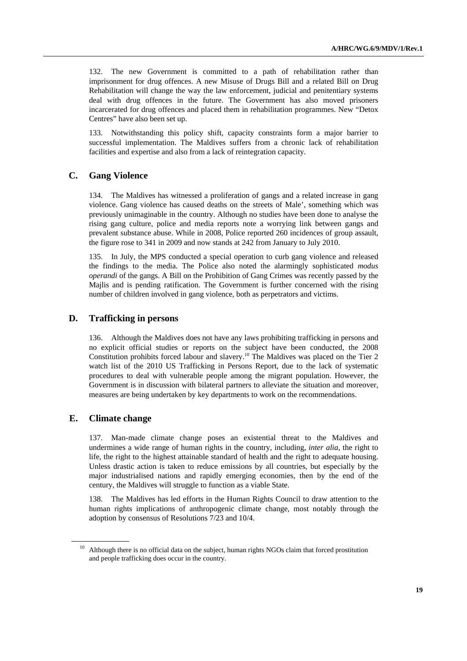132. The new Government is committed to a path of rehabilitation rather than imprisonment for drug offences. A new Misuse of Drugs Bill and a related Bill on Drug Rehabilitation will change the way the law enforcement, judicial and penitentiary systems deal with drug offences in the future. The Government has also moved prisoners incarcerated for drug offences and placed them in rehabilitation programmes. New "Detox Centres" have also been set up.

133. Notwithstanding this policy shift, capacity constraints form a major barrier to successful implementation. The Maldives suffers from a chronic lack of rehabilitation facilities and expertise and also from a lack of reintegration capacity.

### **C. Gang Violence**

134. The Maldives has witnessed a proliferation of gangs and a related increase in gang violence. Gang violence has caused deaths on the streets of Male', something which was previously unimaginable in the country. Although no studies have been done to analyse the rising gang culture, police and media reports note a worrying link between gangs and prevalent substance abuse. While in 2008, Police reported 260 incidences of group assault, the figure rose to 341 in 2009 and now stands at 242 from January to July 2010.

135. In July, the MPS conducted a special operation to curb gang violence and released the findings to the media. The Police also noted the alarmingly sophisticated *modus operandi* of the gangs. A Bill on the Prohibition of Gang Crimes was recently passed by the Majlis and is pending ratification. The Government is further concerned with the rising number of children involved in gang violence, both as perpetrators and victims.

### **D. Trafficking in persons**

136. Although the Maldives does not have any laws prohibiting trafficking in persons and no explicit official studies or reports on the subject have been conducted, the 2008 Constitution prohibits forced labour and slavery.10 The Maldives was placed on the Tier 2 watch list of the 2010 US Trafficking in Persons Report, due to the lack of systematic procedures to deal with vulnerable people among the migrant population. However, the Government is in discussion with bilateral partners to alleviate the situation and moreover, measures are being undertaken by key departments to work on the recommendations.

### **E. Climate change**

137. Man-made climate change poses an existential threat to the Maldives and undermines a wide range of human rights in the country, including, *inter alia*, the right to life, the right to the highest attainable standard of health and the right to adequate housing. Unless drastic action is taken to reduce emissions by all countries, but especially by the major industrialised nations and rapidly emerging economies, then by the end of the century, the Maldives will struggle to function as a viable State.

138. The Maldives has led efforts in the Human Rights Council to draw attention to the human rights implications of anthropogenic climate change, most notably through the adoption by consensus of Resolutions 7/23 and 10/4.

<sup>&</sup>lt;sup>10</sup> Although there is no official data on the subject, human rights NGOs claim that forced prostitution and people trafficking does occur in the country.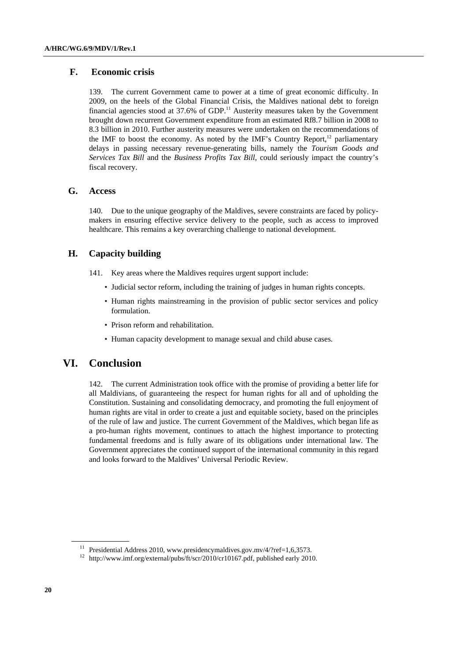### **F. Economic crisis**

139. The current Government came to power at a time of great economic difficulty. In 2009, on the heels of the Global Financial Crisis, the Maldives national debt to foreign financial agencies stood at  $37.6\%$  of GDP.<sup>11</sup> Austerity measures taken by the Government brought down recurrent Government expenditure from an estimated Rf8.7 billion in 2008 to 8.3 billion in 2010. Further austerity measures were undertaken on the recommendations of the IMF to boost the economy. As noted by the IMF's Country Report,  $12$  parliamentary delays in passing necessary revenue-generating bills, namely the *Tourism Goods and Services Tax Bill* and the *Business Profits Tax Bill*, could seriously impact the country's fiscal recovery.

### **G. Access**

140. Due to the unique geography of the Maldives, severe constraints are faced by policymakers in ensuring effective service delivery to the people, such as access to improved healthcare. This remains a key overarching challenge to national development.

### **H. Capacity building**

- 141. Key areas where the Maldives requires urgent support include:
	- Judicial sector reform, including the training of judges in human rights concepts.
	- Human rights mainstreaming in the provision of public sector services and policy formulation.
	- Prison reform and rehabilitation.
	- Human capacity development to manage sexual and child abuse cases.

## **VI. Conclusion**

142. The current Administration took office with the promise of providing a better life for all Maldivians, of guaranteeing the respect for human rights for all and of upholding the Constitution. Sustaining and consolidating democracy, and promoting the full enjoyment of human rights are vital in order to create a just and equitable society, based on the principles of the rule of law and justice. The current Government of the Maldives, which began life as a pro-human rights movement, continues to attach the highest importance to protecting fundamental freedoms and is fully aware of its obligations under international law. The Government appreciates the continued support of the international community in this regard and looks forward to the Maldives' Universal Periodic Review.

<sup>&</sup>lt;sup>11</sup> Presidential Address 2010, www.presidencymaldives.gov.mv/4/?ref=1,6,3573.<br><sup>12</sup> http://www.imf.org/external/pubs/ft/scr/2010/cr10167.pdf, published early 2010.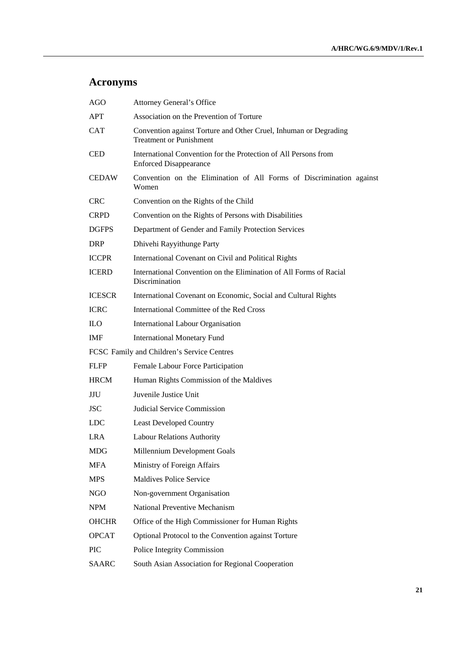# **Acronyms**

| <b>AGO</b>                                 | <b>Attorney General's Office</b>                                                                   |
|--------------------------------------------|----------------------------------------------------------------------------------------------------|
| APT                                        | Association on the Prevention of Torture                                                           |
| <b>CAT</b>                                 | Convention against Torture and Other Cruel, Inhuman or Degrading<br><b>Treatment or Punishment</b> |
| <b>CED</b>                                 | International Convention for the Protection of All Persons from<br><b>Enforced Disappearance</b>   |
| <b>CEDAW</b>                               | Convention on the Elimination of All Forms of Discrimination against<br>Women                      |
| <b>CRC</b>                                 | Convention on the Rights of the Child                                                              |
| <b>CRPD</b>                                | Convention on the Rights of Persons with Disabilities                                              |
| <b>DGFPS</b>                               | Department of Gender and Family Protection Services                                                |
| <b>DRP</b>                                 | Dhivehi Rayyithunge Party                                                                          |
| <b>ICCPR</b>                               | International Covenant on Civil and Political Rights                                               |
| <b>ICERD</b>                               | International Convention on the Elimination of All Forms of Racial<br>Discrimination               |
| <b>ICESCR</b>                              | International Covenant on Economic, Social and Cultural Rights                                     |
| <b>ICRC</b>                                | International Committee of the Red Cross                                                           |
| <b>ILO</b>                                 | International Labour Organisation                                                                  |
| <b>IMF</b>                                 | <b>International Monetary Fund</b>                                                                 |
| FCSC Family and Children's Service Centres |                                                                                                    |
| <b>FLFP</b>                                | Female Labour Force Participation                                                                  |
| <b>HRCM</b>                                | Human Rights Commission of the Maldives                                                            |
| JJU                                        | Juvenile Justice Unit                                                                              |
| <b>JSC</b>                                 | Judicial Service Commission                                                                        |
| <b>LDC</b>                                 | <b>Least Developed Country</b>                                                                     |
| <b>LRA</b>                                 | Labour Relations Authority                                                                         |
| <b>MDG</b>                                 | Millennium Development Goals                                                                       |
| <b>MFA</b>                                 | Ministry of Foreign Affairs                                                                        |
| <b>MPS</b>                                 | Maldives Police Service                                                                            |
| NGO                                        | Non-government Organisation                                                                        |
| <b>NPM</b>                                 | National Preventive Mechanism                                                                      |
| <b>OHCHR</b>                               | Office of the High Commissioner for Human Rights                                                   |
| <b>OPCAT</b>                               | Optional Protocol to the Convention against Torture                                                |
| PIC                                        | Police Integrity Commission                                                                        |
| <b>SAARC</b>                               | South Asian Association for Regional Cooperation                                                   |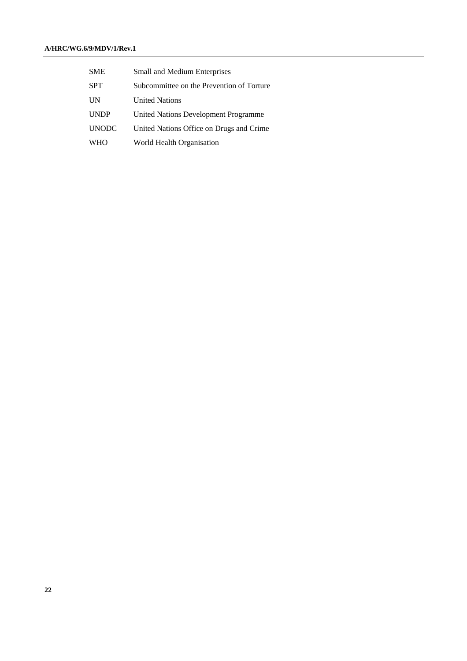| <b>SME</b>   | <b>Small and Medium Enterprises</b>       |
|--------------|-------------------------------------------|
| SPT          | Subcommittee on the Prevention of Torture |
| UN           | <b>United Nations</b>                     |
| <b>UNDP</b>  | United Nations Development Programme      |
| <b>UNODC</b> | United Nations Office on Drugs and Crime  |
| <b>WHO</b>   | World Health Organisation                 |